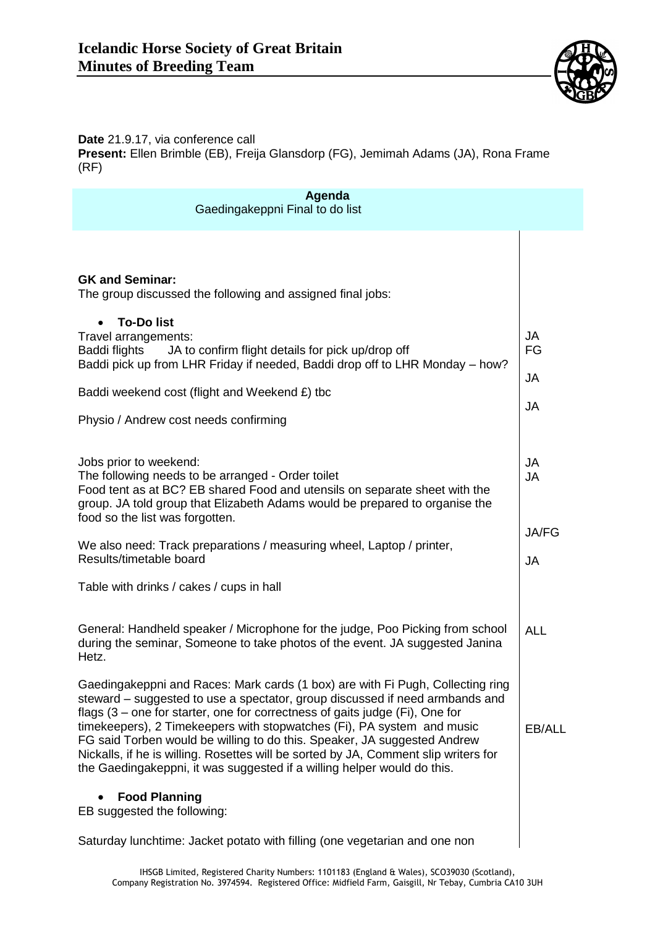

## **Date** 21.9.17, via conference call **Present:** Ellen Brimble (EB), Freija Glansdorp (FG), Jemimah Adams (JA), Rona Frame (RF)

| Agenda<br>Gaedingakeppni Final to do list                                                                                                                                                                                                                                                                                                                                                                                         |                                        |
|-----------------------------------------------------------------------------------------------------------------------------------------------------------------------------------------------------------------------------------------------------------------------------------------------------------------------------------------------------------------------------------------------------------------------------------|----------------------------------------|
| <b>GK and Seminar:</b><br>The group discussed the following and assigned final jobs:<br><b>To-Dolist</b><br>Travel arrangements:<br>Baddi flights<br>JA to confirm flight details for pick up/drop off                                                                                                                                                                                                                            | <b>JA</b><br>FG                        |
| Baddi pick up from LHR Friday if needed, Baddi drop off to LHR Monday – how?<br>Baddi weekend cost (flight and Weekend £) tbc<br>Physio / Andrew cost needs confirming                                                                                                                                                                                                                                                            | <b>JA</b><br><b>JA</b>                 |
| Jobs prior to weekend:<br>The following needs to be arranged - Order toilet<br>Food tent as at BC? EB shared Food and utensils on separate sheet with the<br>group. JA told group that Elizabeth Adams would be prepared to organise the<br>food so the list was forgotten.<br>We also need: Track preparations / measuring wheel, Laptop / printer,                                                                              | <b>JA</b><br><b>JA</b><br><b>JA/FG</b> |
| Results/timetable board<br>Table with drinks / cakes / cups in hall                                                                                                                                                                                                                                                                                                                                                               | <b>JA</b>                              |
| General: Handheld speaker / Microphone for the judge, Poo Picking from school<br>during the seminar, Someone to take photos of the event. JA suggested Janina<br>Hetz.<br>Gaedingakeppni and Races: Mark cards (1 box) are with Fi Pugh, Collecting ring<br>steward – suggested to use a spectator, group discussed if need armbands and                                                                                          | <b>ALL</b>                             |
| flags $(3 -$ one for starter, one for correctness of gaits judge $(Fi)$ , One for<br>timekeepers), 2 Timekeepers with stopwatches (Fi), PA system and music<br>FG said Torben would be willing to do this. Speaker, JA suggested Andrew<br>Nickalls, if he is willing. Rosettes will be sorted by JA, Comment slip writers for<br>the Gaedingakeppni, it was suggested if a willing helper would do this.<br><b>Food Planning</b> | EB/ALL                                 |
| EB suggested the following:<br>Saturday lunchtime: Jacket potato with filling (one vegetarian and one non                                                                                                                                                                                                                                                                                                                         |                                        |